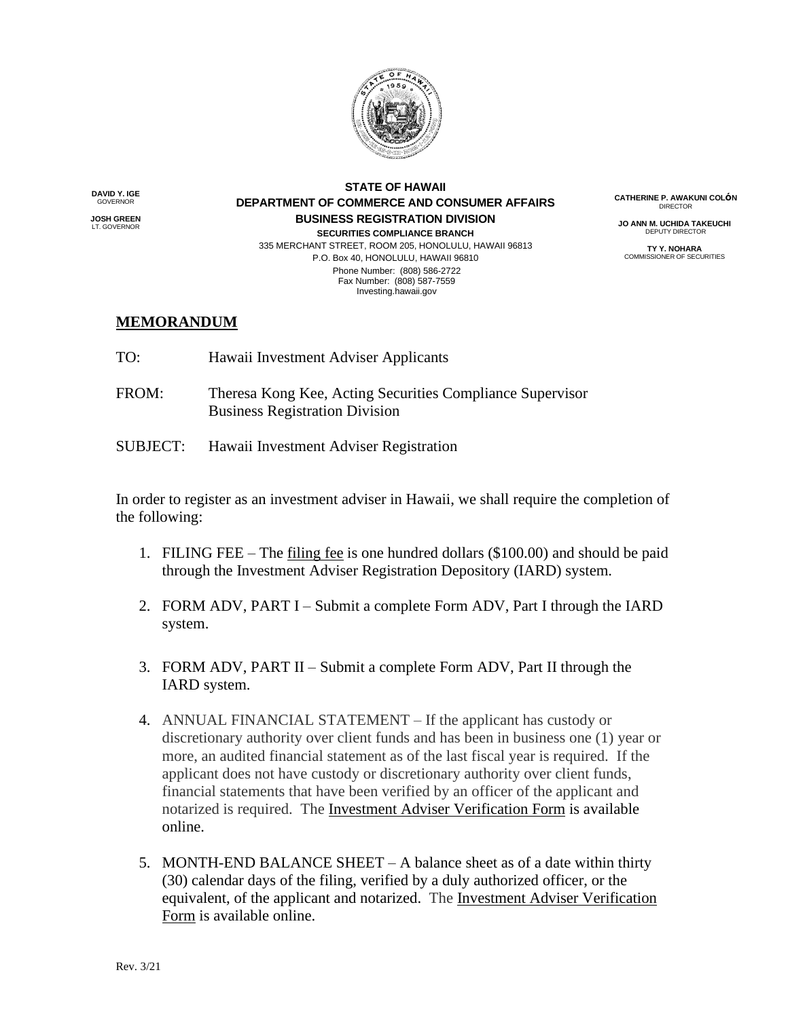

**DAVID Y. IGE** GOVERNOR

**JOSH GREEN** LT. GOVERNOR

## **STATE OF HAWAII DEPARTMENT OF COMMERCE AND CONSUMER AFFAIRS BUSINESS REGISTRATION DIVISION SECURITIES COMPLIANCE BRANCH**

335 MERCHANT STREET, ROOM 205, HONOLULU, HAWAII 96813 P.O. Box 40, HONOLULU, HAWAII 96810 Phone Number: (808) 586-2722 Fax Number: (808) 587-7559 Investing.hawaii.gov

**CATHERINE P. AWAKUNI COLόN DIRECTOR** 

**JO ANN M. UCHIDA TAKEUCHI** DEPUTY DIRECTOR

**TY Y. NOHARA** COMMISSIONER OF SECURITIES

## **MEMORANDUM**

- TO: Hawaii Investment Adviser Applicants
- FROM: Theresa Kong Kee, Acting Securities Compliance Supervisor Business Registration Division
- SUBJECT: Hawaii Investment Adviser Registration

In order to register as an investment adviser in Hawaii, we shall require the completion of the following:

- 1. FILING FEE The filing fee is one hundred dollars (\$100.00) and should be paid through the Investment Adviser Registration Depository (IARD) system.
- 2. FORM ADV, PART I Submit a complete Form ADV, Part I through the IARD system.
- 3. FORM ADV, PART II Submit a complete Form ADV, Part II through the IARD system.
- 4. ANNUAL FINANCIAL STATEMENT If the applicant has custody or discretionary authority over client funds and has been in business one (1) year or more, an audited financial statement as of the last fiscal year is required. If the applicant does not have custody or discretionary authority over client funds, financial statements that have been verified by an officer of the applicant and notarized is required. The Investment Adviser Verification Form is available online.
- 5. MONTH-END BALANCE SHEET A balance sheet as of a date within thirty (30) calendar days of the filing, verified by a duly authorized officer, or the equivalent, of the applicant and notarized. The Investment Adviser Verification Form is available online.